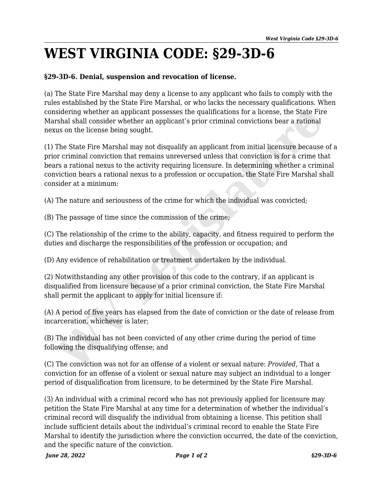## **WEST VIRGINIA CODE: §29-3D-6**

## **§29-3D-6. Denial, suspension and revocation of license.**

(a) The State Fire Marshal may deny a license to any applicant who fails to comply with the rules established by the State Fire Marshal, or who lacks the necessary qualifications. When considering whether an applicant possesses the qualifications for a license, the State Fire Marshal shall consider whether an applicant's prior criminal convictions bear a rational nexus on the license being sought.

(1) The State Fire Marshal may not disqualify an applicant from initial licensure because of a prior criminal conviction that remains unreversed unless that conviction is for a crime that bears a rational nexus to the activity requiring licensure. In determining whether a criminal conviction bears a rational nexus to a profession or occupation, the State Fire Marshal shall consider at a minimum: sidering whether an applicant possesses the qualifications for a license, the State Firshal shall consider whether an applicant's prior criminal convictions bear a rational susual shall consider whether an applicant's prio

(A) The nature and seriousness of the crime for which the individual was convicted;

(B) The passage of time since the commission of the crime;

(C) The relationship of the crime to the ability, capacity, and fitness required to perform the duties and discharge the responsibilities of the profession or occupation; and

(D) Any evidence of rehabilitation or treatment undertaken by the individual.

(2) Notwithstanding any other provision of this code to the contrary, if an applicant is disqualified from licensure because of a prior criminal conviction, the State Fire Marshal shall permit the applicant to apply for initial licensure if:

(A) A period of five years has elapsed from the date of conviction or the date of release from incarceration, whichever is later;

(B) The individual has not been convicted of any other crime during the period of time following the disqualifying offense; and

(C) The conviction was not for an offense of a violent or sexual nature: *Provided*, That a conviction for an offense of a violent or sexual nature may subject an individual to a longer period of disqualification from licensure, to be determined by the State Fire Marshal.

(3) An individual with a criminal record who has not previously applied for licensure may petition the State Fire Marshal at any time for a determination of whether the individual's criminal record will disqualify the individual from obtaining a license. This petition shall include sufficient details about the individual's criminal record to enable the State Fire Marshal to identify the jurisdiction where the conviction occurred, the date of the conviction, and the specific nature of the conviction.